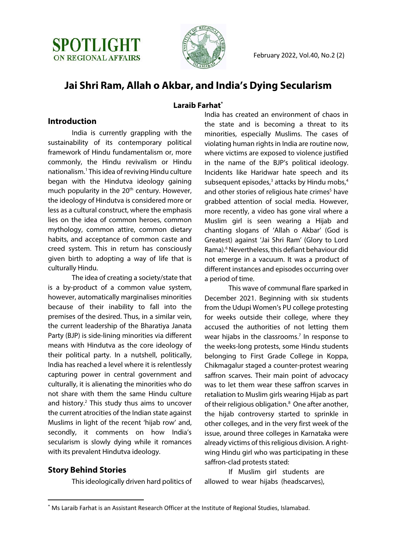



# **Jai Shri Ram, Allah o Akbar, and India's Dying Secularism**

#### **Laraib Farhat\***

#### **Introduction**

India is currently grappling with the sustainability of its contemporary political framework of Hindu fundamentalism or, more commonly, the Hindu revivalism or Hindu nationalism.1 This idea of reviving Hindu culture began with the Hindutva ideology gaining much popularity in the 20<sup>th</sup> century. However, the ideology of Hindutva is considered more or less as a cultural construct, where the emphasis lies on the idea of common heroes, common mythology, common attire, common dietary habits, and acceptance of common caste and creed system. This in return has consciously given birth to adopting a way of life that is culturally Hindu.

The idea of creating a society/state that is a by-product of a common value system, however, automatically marginalises minorities because of their inability to fall into the premises of the desired. Thus, in a similar vein, the current leadership of the Bharatiya Janata Party (BJP) is side-lining minorities via different means with Hindutva as the core ideology of their political party. In a nutshell, politically, India has reached a level where it is relentlessly capturing power in central government and culturally, it is alienating the minorities who do not share with them the same Hindu culture and history. $2$  This study thus aims to uncover the current atrocities of the Indian state against Muslims in light of the recent 'hijab row' and, secondly, it comments on how India's secularism is slowly dying while it romances with its prevalent Hindutva ideology.

#### **Story Behind Stories**

This ideologically driven hard politics of

India has created an environment of chaos in the state and is becoming a threat to its minorities, especially Muslims. The cases of violating human rights in India are routine now, where victims are exposed to violence justified in the name of the BJP's political ideology. Incidents like Haridwar hate speech and its subsequent episodes, $3$  attacks by Hindu mobs, $4$ and other stories of religious hate crimes<sup>5</sup> have grabbed attention of social media. However, more recently, a video has gone viral where a Muslim girl is seen wearing a Hijab and chanting slogans of 'Allah o Akbar' (God is Greatest) against 'Jai Shri Ram' (Glory to Lord Rama).<sup>6</sup> Nevertheless, this defiant behaviour did not emerge in a vacuum. It was a product of different instances and episodes occurring over a period of time.

This wave of communal flare sparked in December 2021. Beginning with six students from the Udupi Women's PU college protesting for weeks outside their college, where they accused the authorities of not letting them wear hijabs in the classrooms.<sup>7</sup> In response to the weeks-long protests, some Hindu students belonging to First Grade College in Koppa, Chikmagalur staged a counter-protest wearing saffron scarves. Their main point of advocacy was to let them wear these saffron scarves in retaliation to Muslim girls wearing Hijab as part of their religious obligation.<sup>8</sup> One after another, the hijab controversy started to sprinkle in other colleges, and in the very first week of the issue, around three colleges in Karnataka were already victims of this religious division. A rightwing Hindu girl who was participating in these saffron-clad protests stated:

If Muslim girl students are allowed to wear hijabs (headscarves),

<sup>\*</sup> Ms Laraib Farhat is an Assistant Research Officer at the Institute of Regional Studies, Islamabad.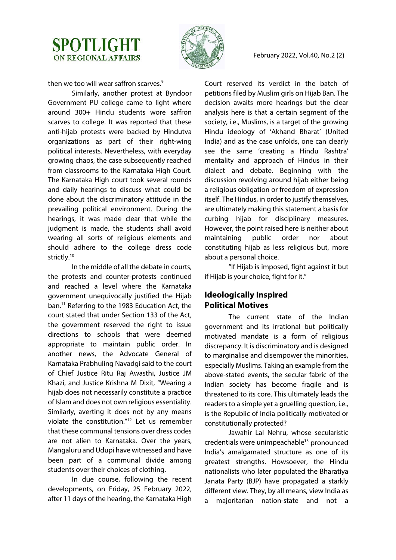



then we too will wear saffron scarves.<sup>9</sup>

Similarly, another protest at Byndoor Government PU college came to light where around 300+ Hindu students wore saffron scarves to college. It was reported that these anti-hijab protests were backed by Hindutva organizations as part of their right-wing political interests. Nevertheless, with everyday growing chaos, the case subsequently reached from classrooms to the Karnataka High Court. The Karnataka High court took several rounds and daily hearings to discuss what could be done about the discriminatory attitude in the prevailing political environment. During the hearings, it was made clear that while the judgment is made, the students shall avoid wearing all sorts of religious elements and should adhere to the college dress code strictly.<sup>10</sup>

In the middle of all the debate in courts, the protests and counter-protests continued and reached a level where the Karnataka government unequivocally justified the Hijab ban.11 Referring to the 1983 Education Act, the court stated that under Section 133 of the Act, the government reserved the right to issue directions to schools that were deemed appropriate to maintain public order. In another news, the Advocate General of Karnataka Prabhuling Navadgi said to the court of Chief Justice Ritu Raj Awasthi, Justice JM Khazi, and Justice Krishna M Dixit, "Wearing a hijab does not necessarily constitute a practice of Islam and does not own religious essentiality. Similarly, averting it does not by any means violate the constitution."12 Let us remember that these communal tensions over dress codes are not alien to Karnataka. Over the years, Mangaluru and Udupi have witnessed and have been part of a communal divide among students over their choices of clothing.

In due course, following the recent developments, on Friday, 25 February 2022, after 11 days of the hearing, the Karnataka High Court reserved its verdict in the batch of petitions filed by Muslim girls on Hijab Ban. The decision awaits more hearings but the clear analysis here is that a certain segment of the society, i.e., Muslims, is a target of the growing Hindu ideology of 'Akhand Bharat' (United India) and as the case unfolds, one can clearly see the same 'creating a Hindu Rashtra' mentality and approach of Hindus in their dialect and debate. Beginning with the discussion revolving around hijab either being a religious obligation or freedom of expression itself. The Hindus, in order to justify themselves, are ultimately making this statement a basis for curbing hijab for disciplinary measures. However, the point raised here is neither about maintaining public order nor about constituting hijab as less religious but, more about a personal choice.

"If Hijab is imposed, fight against it but if Hijab is your choice, fight for it."

### **Ideologically Inspired Political Motives**

The current state of the Indian government and its irrational but politically motivated mandate is a form of religious discrepancy. It is discriminatory and is designed to marginalise and disempower the minorities, especially Muslims. Taking an example from the above-stated events, the secular fabric of the Indian society has become fragile and is threatened to its core. This ultimately leads the readers to a simple yet a gruelling question, i.e., is the Republic of India politically motivated or constitutionally protected?

Jawahir Lal Nehru, whose secularistic credentials were unimpeachable<sup>13</sup> pronounced India's amalgamated structure as one of its greatest strengths. Howsoever, the Hindu nationalists who later populated the Bharatiya Janata Party (BJP) have propagated a starkly different view. They, by all means, view India as a majoritarian nation-state and not a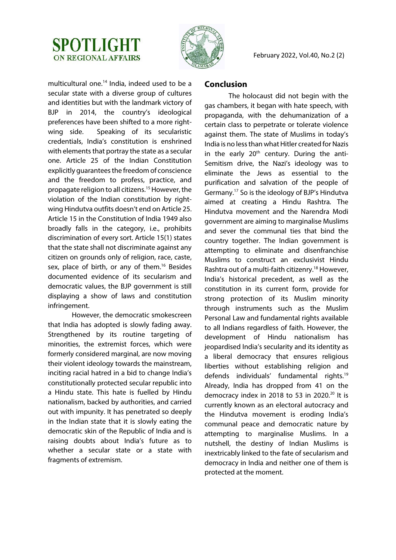



multicultural one.14 India, indeed used to be a secular state with a diverse group of cultures and identities but with the landmark victory of BJP in 2014, the country's ideological preferences have been shifted to a more rightwing side. Speaking of its secularistic credentials, India's constitution is enshrined with elements that portray the state as a secular one. Article 25 of the Indian Constitution explicitly guarantees the freedom of conscience and the freedom to profess, practice, and propagate religion to all citizens.<sup>15</sup> However, the violation of the Indian constitution by rightwing Hindutva outfits doesn't end on Article 25. Article 15 in the Constitution of India 1949 also broadly falls in the category, i.e., prohibits discrimination of every sort. Article 15(1) states that the state shall not discriminate against any citizen on grounds only of religion, race, caste, sex, place of birth, or any of them.<sup>16</sup> Besides documented evidence of its secularism and democratic values, the BJP government is still displaying a show of laws and constitution infringement.

However, the democratic smokescreen that India has adopted is slowly fading away. Strengthened by its routine targeting of minorities, the extremist forces, which were formerly considered marginal, are now moving their violent ideology towards the mainstream, inciting racial hatred in a bid to change India's constitutionally protected secular republic into a Hindu state. This hate is fuelled by Hindu nationalism, backed by authorities, and carried out with impunity. It has penetrated so deeply in the Indian state that it is slowly eating the democratic skin of the Republic of India and is raising doubts about India's future as to whether a secular state or a state with fragments of extremism.

#### **Conclusion**

The holocaust did not begin with the gas chambers, it began with hate speech, with propaganda, with the dehumanization of a certain class to perpetrate or tolerate violence against them. The state of Muslims in today's India is no less than what Hitler created for Nazis in the early  $20<sup>th</sup>$  century. During the anti-Semitism drive, the Nazi's ideology was to eliminate the Jews as essential to the purification and salvation of the people of Germany.17 So is the ideology of BJP's Hindutva aimed at creating a Hindu Rashtra*.* The Hindutva movement and the Narendra Modi government are aiming to marginalise Muslims and sever the communal ties that bind the country together. The Indian government is attempting to eliminate and disenfranchise Muslims to construct an exclusivist Hindu Rashtra out of a multi-faith citizenry.<sup>18</sup> However, India's historical precedent, as well as the constitution in its current form, provide for strong protection of its Muslim minority through instruments such as the Muslim Personal Law and fundamental rights available to all Indians regardless of faith. However, the development of Hindu nationalism has jeopardised India's secularity and its identity as a liberal democracy that ensures religious liberties without establishing religion and defends individuals' fundamental rights.19 Already, India has dropped from 41 on the democracy index in 2018 to 53 in 2020. $20$  It is currently known as an electoral autocracy and the Hindutva movement is eroding India's communal peace and democratic nature by attempting to marginalise Muslims. In a nutshell, the destiny of Indian Muslims is inextricably linked to the fate of secularism and democracy in India and neither one of them is protected at the moment.